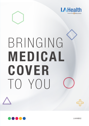

# BRINGING MEDICAL COVER TO YOU



LAHNB02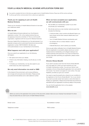# YOUR LA HEALTH MEDICAL SCHEME APPLICATION FORM 2021

You need to complete this form in full when you apply to join LA Health Medical Scheme. Please tear off this section and keep it until you get further communication from us about your application

## Thank you for applying to join LA Health Medical Scheme

Thank you for choosing LA Health Medical Scheme to look after your healthcare needs.

### Who we are

LA Health Medical Scheme (referred to as 'the Scheme'), registration number 1145, is the medical scheme that you are applying to become a member of. This is a not-for-profit organisation, registered with the Council for Medical Schemes.

Discovery Health (Pty) Ltd (referred to as 'the administrator') is a separate company and an authorised financial services provider (registration number 1997/013480/07). We take care of the administration of your membership for the Scheme.

## What happens next with your application?

Once you submit your application to us, the following will happen:

- We capture and check your details.
- If there is any information missing, we will call you or write to you.
- To finalise your membership, we may also speak to your broker about any other requirements.

## We only send information via email or SMS

In the interest of the environment, and to ensure efficiency, we no longer print and post some information. Please provide your personal email address and a valid cellphone number.

## When we have accepted your application, we will communicate with you

- We will SMS your membership number to you when we activate your membership.
- We will also send you a new member welcome pack that includes the following:
	- A welcome letter, which confirms the Benefit Option you have chosen and all other relevant details about your membership
	- Your LA Health Medical Scheme membership card
	- Car stickers with our contact details in case of an emergency
	- A Benefit Brochure, which outlines your benefits.

Once you get written notification from LA Health Medical Scheme that your application is successful, please cancel your current medical scheme membership, as it is illegal to belong to two medical schemes at the same time. If you have not heard from us seven days after submitting your application, please contact your broker.

## Chronic Illness Benefit

If you want to access cover from the Chronic Illness Benefit, you must apply for it when you have received your new LA Health membership number. You and your doctor must complete a Chronic Illness Benefit application form and submit it for review. Your doctor can apply for cover online, if he uses HealthID, provided you give your consent.

You need to meet the benefit entry criteria for your condition to be registered on the Chronic Illness Benefit. You or your doctor may need to provide certain test results or extra information to finalise your application. Please ensure that these documents are submitted with your application to avoid any delays in the process.

You can find the application form on the website www.lahealth.co.za

Before you send us the application form portion of this document, please make sure your employer has stamped it to show they are aware that you want to join LA Health Medical Scheme.

| Broker name:      | Accreditation number: |
|-------------------|-----------------------|
|                   |                       |
| Telephone number: | FAIS number:          |
|                   |                       |

 LA Health Medical Scheme, registration number 1145, is administered by Discovery Health (Pty) Ltd, registration number 1997/013480/07. Discovery Health (Pty) Ltd is an authorised financial services provider.  $\bullet$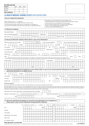| For office use only       |      |     |       |
|---------------------------|------|-----|-------|
| Option:                   | Risk | MSA | Total |
| Employer                  |      |     |       |
| Member                    |      |     |       |
| <b>Total contribution</b> |      |     |       |

# LA HEALTH MEDICAL SCHEME MEMBER APPLICATION FORM

#### How to complete this application

Please complete sections A – J as applicable.

Please use one letter per block, complete with black ink and print clearly.

To avoid administration delays, please make sure this application is completed in full. This form must be completed for each person who wants to join LA Health Medical Scheme. Please attach a copy of each applicant's ID to this application form.

LA Health Medical Scheme accepts valid passports and birth certificates for children. You must give this form to your employer if you are still working. If you are a pensioner, please give it to your pension fund administrator. To follow up on this application, please call 0860 100 345

or email nb\_inhouse\_queries@discovery.co.za

| A. About your employer                                                                                                                                                                                                                                                                                                                                                                                                 |                                                                             |      |         |    |                                  |                        |   |      |              |   |     |          |            |     |                |                              |                         |           |            |                        |               |  |                                 |          |          |   |                                  |  |
|------------------------------------------------------------------------------------------------------------------------------------------------------------------------------------------------------------------------------------------------------------------------------------------------------------------------------------------------------------------------------------------------------------------------|-----------------------------------------------------------------------------|------|---------|----|----------------------------------|------------------------|---|------|--------------|---|-----|----------|------------|-----|----------------|------------------------------|-------------------------|-----------|------------|------------------------|---------------|--|---------------------------------|----------|----------|---|----------------------------------|--|
| Municipality/Employer                                                                                                                                                                                                                                                                                                                                                                                                  |                                                                             |      |         |    |                                  |                        |   |      |              |   |     |          |            |     |                |                              |                         |           |            |                        |               |  |                                 |          |          |   |                                  |  |
| Date of permanent employment                                                                                                                                                                                                                                                                                                                                                                                           |                                                                             |      |         |    |                                  |                        |   |      |              |   |     |          | Depot name |     |                |                              |                         |           |            |                        |               |  |                                 |          |          |   |                                  |  |
| Staff number                                                                                                                                                                                                                                                                                                                                                                                                           |                                                                             |      |         |    |                                  |                        |   |      | Employer no. |   |     |          |            |     |                |                              |                         |           |            | Pension number         |               |  |                                 |          |          |   |                                  |  |
| B. About yourself (main member). Please attach a copy of your ID/passport                                                                                                                                                                                                                                                                                                                                              |                                                                             |      |         |    |                                  |                        |   |      |              |   |     |          |            |     |                |                              |                         |           |            |                        |               |  |                                 |          |          |   |                                  |  |
| When do you want your cover to start?                                                                                                                                                                                                                                                                                                                                                                                  |                                                                             |      |         |    |                                  |                        |   | M    |              | 0 | 1   |          |            |     |                | Are you in active employment |                         |           |            | N                      |               |  | Are you retired from employment |          |          |   |                                  |  |
| Title                                                                                                                                                                                                                                                                                                                                                                                                                  |                                                                             |      | Surname |    |                                  |                        |   |      |              |   |     |          |            |     |                |                              |                         |           | Tax number |                        |               |  |                                 |          |          |   |                                  |  |
| First name(s)                                                                                                                                                                                                                                                                                                                                                                                                          |                                                                             |      |         |    |                                  |                        |   |      |              |   |     |          |            |     | Sex            |                              | M                       | F         |            |                        | Date of birth |  |                                 |          |          | M | M                                |  |
| ID or passport number                                                                                                                                                                                                                                                                                                                                                                                                  |                                                                             |      |         |    |                                  |                        |   |      |              |   |     |          |            |     | Marital status |                              |                         |           |            |                        |               |  |                                 |          |          |   |                                  |  |
| Gross yearly salary                                                                                                                                                                                                                                                                                                                                                                                                    |                                                                             | R    |         |    |                                  |                        |   |      |              |   |     |          |            |     |                |                              |                         | Cellphone |            |                        |               |  |                                 |          |          |   |                                  |  |
| Telephone (H)                                                                                                                                                                                                                                                                                                                                                                                                          |                                                                             |      |         |    |                                  |                        |   |      |              |   | (W) |          |            |     |                |                              |                         |           |            |                        |               |  |                                 |          |          |   |                                  |  |
| Email                                                                                                                                                                                                                                                                                                                                                                                                                  |                                                                             |      |         |    |                                  |                        |   |      |              |   |     |          |            |     |                |                              |                         |           |            |                        |               |  | Home                            |          |          |   | Work                             |  |
| * Communication will be sent to either this email address or via SMS to your cellphone. Please supply a valid personal email address and cellphone number                                                                                                                                                                                                                                                              |                                                                             |      |         |    |                                  |                        |   |      |              |   |     |          |            |     |                |                              |                         |           |            |                        |               |  |                                 |          |          |   |                                  |  |
| Physical address                                                                                                                                                                                                                                                                                                                                                                                                       |                                                                             |      |         |    |                                  |                        |   |      |              |   |     |          |            |     |                | Postal address               |                         |           |            |                        |               |  |                                 |          |          |   |                                  |  |
|                                                                                                                                                                                                                                                                                                                                                                                                                        |                                                                             |      |         |    |                                  |                        |   |      |              |   |     |          |            |     |                |                              |                         |           |            |                        |               |  |                                 |          |          |   |                                  |  |
|                                                                                                                                                                                                                                                                                                                                                                                                                        |                                                                             |      |         |    |                                  |                        |   |      |              |   |     |          |            |     |                |                              |                         |           |            |                        |               |  |                                 |          |          |   |                                  |  |
|                                                                                                                                                                                                                                                                                                                                                                                                                        |                                                                             |      |         |    |                                  |                        |   | Code |              |   |     |          |            |     |                |                              |                         |           |            |                        |               |  |                                 | Code     |          |   |                                  |  |
| C. About your spouse/partner (if applying for cover). Please attach a copy of your spouse's/partner's ID/passport and complete the                                                                                                                                                                                                                                                                                     | partnership declaration if not legally married                              |      |         |    |                                  |                        |   |      |              |   |     |          |            |     |                |                              |                         |           |            |                        |               |  |                                 |          |          |   |                                  |  |
| Title                                                                                                                                                                                                                                                                                                                                                                                                                  |                                                                             |      | Surname |    |                                  |                        |   |      |              |   |     |          |            |     |                |                              |                         |           |            |                        |               |  |                                 |          |          |   |                                  |  |
| First name(s)                                                                                                                                                                                                                                                                                                                                                                                                          |                                                                             |      |         |    |                                  |                        |   |      |              |   |     |          |            |     | Sex            |                              | M                       |           |            |                        | Date of birth |  |                                 |          |          |   |                                  |  |
| ID number                                                                                                                                                                                                                                                                                                                                                                                                              |                                                                             |      |         |    |                                  |                        |   |      |              |   |     |          |            |     |                |                              |                         |           | Cellphone  |                        |               |  |                                 |          |          |   |                                  |  |
| Telephone (H)                                                                                                                                                                                                                                                                                                                                                                                                          |                                                                             |      |         |    |                                  |                        |   |      |              |   |     |          |            |     | (W)            |                              |                         |           |            |                        |               |  |                                 |          |          |   |                                  |  |
| Partnership declaration                                                                                                                                                                                                                                                                                                                                                                                                |                                                                             |      |         |    |                                  |                        |   |      |              |   |     |          |            |     |                |                              |                         |           |            |                        |               |  |                                 |          |          |   |                                  |  |
| If you are not legally married and unable to produce a marriage certificate, we require that you complete the section below.                                                                                                                                                                                                                                                                                           |                                                                             |      |         |    |                                  |                        |   |      |              |   |     |          |            |     |                |                              |                         |           |            |                        |               |  |                                 |          |          |   |                                  |  |
| We hereby declare that we are in a long-term, committed relationship that is like a marriage and that we reside together at the same residence. We understand that by signing this declaration we agree to<br>inform the Scheme of any change in the status of our relationship or any change in our living arrangements, such as separation. We further understand that should the information provided regarding our |                                                                             |      |         |    |                                  |                        |   |      |              |   |     |          |            |     |                |                              |                         |           |            |                        |               |  |                                 |          |          |   |                                  |  |
| relationship or residency be false in any way, the Scheme reserves the right to terminate both our memberships.                                                                                                                                                                                                                                                                                                        |                                                                             |      |         |    |                                  |                        |   |      |              |   |     |          |            |     |                |                              |                         |           |            |                        |               |  |                                 |          |          |   |                                  |  |
| How long have you and your partner been in this relationship that is like a marriage?                                                                                                                                                                                                                                                                                                                                  |                                                                             |      |         |    |                                  |                        |   |      |              |   |     |          |            | M   |                |                              |                         |           |            |                        |               |  |                                 |          |          |   |                                  |  |
| Signature of main member                                                                                                                                                                                                                                                                                                                                                                                               |                                                                             |      |         |    | Original hand signature required |                        |   |      |              |   |     |          |            |     |                | Signature of spouse/partner  |                         |           |            |                        |               |  |                                 |          |          |   | Original hand signature required |  |
|                                                                                                                                                                                                                                                                                                                                                                                                                        |                                                                             | Date |         |    |                                  |                        | M |      |              |   |     |          |            |     |                |                              |                         |           | Date       |                        |               |  |                                 |          |          |   |                                  |  |
| Should the above section not be signed by both parties, the application process will be halted until such time as the section has been duly signed by both parties.                                                                                                                                                                                                                                                    |                                                                             |      |         |    |                                  |                        |   |      |              |   |     |          |            |     |                |                              |                         |           |            |                        |               |  |                                 |          |          |   |                                  |  |
| D. About your dependant/s (if applying for cover). How many dependants are you applying for?                                                                                                                                                                                                                                                                                                                           | Please attach a copy of all your dependants' ID/passport/birth certificates |      |         |    |                                  |                        |   |      |              |   |     |          |            |     |                |                              |                         |           |            |                        |               |  |                                 |          |          |   |                                  |  |
|                                                                                                                                                                                                                                                                                                                                                                                                                        |                                                                             |      |         | 1. |                                  | Child (up to 27 years) |   |      |              |   |     | or adult |            | Sex | M              |                              | $\overline{\mathbf{2}}$ |           |            | Child (up to 27 years) |               |  |                                 | or adult |          |   | Sex                              |  |
| Title                                                                                                                                                                                                                                                                                                                                                                                                                  |                                                                             |      |         |    |                                  |                        |   |      |              |   |     |          | Initials   |     |                |                              |                         |           |            |                        |               |  |                                 |          | Initials |   |                                  |  |
| Surname                                                                                                                                                                                                                                                                                                                                                                                                                |                                                                             |      |         |    |                                  |                        |   |      |              |   |     |          |            |     |                |                              |                         |           |            |                        |               |  |                                 |          |          |   |                                  |  |
| First name(s)                                                                                                                                                                                                                                                                                                                                                                                                          |                                                                             |      |         |    |                                  |                        |   |      |              |   |     |          |            |     |                |                              |                         |           |            |                        |               |  |                                 |          |          |   |                                  |  |
| Relationship to main member                                                                                                                                                                                                                                                                                                                                                                                            |                                                                             |      |         |    |                                  |                        |   |      |              |   |     |          |            |     |                |                              |                         |           |            |                        |               |  |                                 |          |          |   |                                  |  |
| Date of birth                                                                                                                                                                                                                                                                                                                                                                                                          |                                                                             |      |         |    |                                  |                        |   |      |              |   |     |          |            |     |                |                              |                         |           |            |                        |               |  | D                               |          |          |   |                                  |  |
| ID or passport number                                                                                                                                                                                                                                                                                                                                                                                                  |                                                                             |      |         |    |                                  |                        |   |      |              |   |     |          |            |     |                |                              |                         |           |            |                        |               |  |                                 |          |          |   |                                  |  |
| Please sign Section J on reverse side.                                                                                                                                                                                                                                                                                                                                                                                 |                                                                             |      |         |    |                                  |                        |   |      |              |   |     |          |            |     |                |                              |                         |           |            |                        |               |  |                                 |          |          |   |                                  |  |

LA Health Medical Scheme, registration number 1145, is administered by Discovery Health (Pty) Ltd, registration number 1997/013480/07. Discovery Health (Pty) Ltd is an authorised financial services provider.

LAHNB02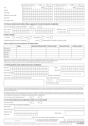|                                                                                                                                                                                                                                                                                                                                                                                                                                                                                                                                                |          | 3 |        | Child (up to 27 years) |     |    |   |                  | or adult |                                  | Sex                                                                                                                                       |                        |   | 4 | Child (up to 27 years)        |                       |      |   |                       |                                  | or adult |                        | Sex |  |
|------------------------------------------------------------------------------------------------------------------------------------------------------------------------------------------------------------------------------------------------------------------------------------------------------------------------------------------------------------------------------------------------------------------------------------------------------------------------------------------------------------------------------------------------|----------|---|--------|------------------------|-----|----|---|------------------|----------|----------------------------------|-------------------------------------------------------------------------------------------------------------------------------------------|------------------------|---|---|-------------------------------|-----------------------|------|---|-----------------------|----------------------------------|----------|------------------------|-----|--|
| Title                                                                                                                                                                                                                                                                                                                                                                                                                                                                                                                                          |          |   |        |                        |     |    |   |                  |          | Initials                         |                                                                                                                                           |                        |   |   |                               |                       |      |   |                       |                                  |          | <b>Initials</b>        |     |  |
| Surname                                                                                                                                                                                                                                                                                                                                                                                                                                                                                                                                        |          |   |        |                        |     |    |   |                  |          |                                  |                                                                                                                                           |                        |   |   |                               |                       |      |   |                       |                                  |          |                        |     |  |
| First name(s)                                                                                                                                                                                                                                                                                                                                                                                                                                                                                                                                  |          |   |        |                        |     |    |   |                  |          |                                  |                                                                                                                                           |                        |   |   |                               |                       |      |   |                       |                                  |          |                        |     |  |
|                                                                                                                                                                                                                                                                                                                                                                                                                                                                                                                                                |          |   |        |                        |     |    |   |                  |          |                                  |                                                                                                                                           |                        |   |   |                               |                       |      |   |                       |                                  |          |                        |     |  |
| Relationship to main member                                                                                                                                                                                                                                                                                                                                                                                                                                                                                                                    |          |   |        |                        |     |    |   |                  |          |                                  |                                                                                                                                           |                        |   |   |                               |                       |      |   |                       |                                  |          |                        |     |  |
| Date of birth                                                                                                                                                                                                                                                                                                                                                                                                                                                                                                                                  |          |   |        |                        |     |    | M | D                | D        |                                  |                                                                                                                                           |                        |   |   |                               |                       | M    | M |                       | D                                |          |                        |     |  |
| ID or passport number                                                                                                                                                                                                                                                                                                                                                                                                                                                                                                                          |          |   |        |                        |     |    |   |                  |          |                                  |                                                                                                                                           |                        |   |   |                               |                       |      |   |                       |                                  |          |                        |     |  |
| E. Previous medical scheme details. (Please supply proof of current membership, if applicable)                                                                                                                                                                                                                                                                                                                                                                                                                                                 |          |   |        |                        |     |    |   |                  |          |                                  |                                                                                                                                           |                        |   |   |                               |                       |      |   |                       |                                  |          |                        |     |  |
| Have you ever belonged to a medical scheme before?                                                                                                                                                                                                                                                                                                                                                                                                                                                                                             |          |   |        |                        | Yes |    |   |                  | No       |                                  |                                                                                                                                           |                        |   |   |                               |                       |      |   |                       |                                  |          |                        |     |  |
| Name of scheme                                                                                                                                                                                                                                                                                                                                                                                                                                                                                                                                 |          |   |        |                        |     |    |   |                  |          |                                  |                                                                                                                                           |                        |   |   |                               | Membership number     |      |   |                       |                                  |          |                        |     |  |
|                                                                                                                                                                                                                                                                                                                                                                                                                                                                                                                                                |          | M | D<br>M |                        |     |    |   |                  |          |                                  | M<br>M                                                                                                                                    | D                      | D |   |                               |                       |      |   |                       |                                  |          |                        |     |  |
| Date of joining                                                                                                                                                                                                                                                                                                                                                                                                                                                                                                                                |          |   |        |                        |     | to |   |                  |          |                                  |                                                                                                                                           |                        |   |   |                               | or currently a member |      |   |                       |                                  |          |                        |     |  |
| F. Option selection                                                                                                                                                                                                                                                                                                                                                                                                                                                                                                                            |          |   |        |                        |     |    |   |                  |          |                                  |                                                                                                                                           |                        |   |   |                               |                       |      |   |                       |                                  |          |                        |     |  |
| 1. LA KeyPlus                                                                                                                                                                                                                                                                                                                                                                                                                                                                                                                                  | LA Focus |   |        | LA Active              |     |    |   | LA Comprehensive |          |                                  | LA Core                                                                                                                                   |                        |   |   |                               |                       |      |   |                       |                                  |          |                        |     |  |
| Pay Medical Savings Account claims at LA Health Rate                                                                                                                                                                                                                                                                                                                                                                                                                                                                                           |          |   |        |                        |     |    |   | or at Cost       |          |                                  | (if applicable) Note: not available to LA KeyPlus members.                                                                                |                        |   |   |                               |                       |      |   |                       |                                  |          |                        |     |  |
| Please complete if you have selected the LA KeyPlus Option.                                                                                                                                                                                                                                                                                                                                                                                                                                                                                    |          |   |        |                        |     |    |   |                  |          |                                  |                                                                                                                                           |                        |   |   |                               |                       |      |   |                       |                                  |          |                        |     |  |
|                                                                                                                                                                                                                                                                                                                                                                                                                                                                                                                                                | Name     |   |        |                        |     |    |   |                  |          | <b>General Practitioner (GP)</b> |                                                                                                                                           | <b>Practice number</b> |   |   |                               |                       |      |   | <b>Second GP name</b> |                                  |          | <b>Practice number</b> |     |  |
| Main applicant                                                                                                                                                                                                                                                                                                                                                                                                                                                                                                                                 |          |   |        |                        |     |    |   |                  |          |                                  |                                                                                                                                           |                        |   |   |                               |                       |      |   |                       |                                  |          |                        |     |  |
| Spouse/partner                                                                                                                                                                                                                                                                                                                                                                                                                                                                                                                                 |          |   |        |                        |     |    |   |                  |          |                                  |                                                                                                                                           |                        |   |   |                               |                       |      |   |                       |                                  |          |                        |     |  |
| Dependant*                                                                                                                                                                                                                                                                                                                                                                                                                                                                                                                                     |          |   |        |                        |     |    |   |                  |          |                                  |                                                                                                                                           |                        |   |   |                               |                       |      |   |                       |                                  |          |                        |     |  |
| Dependant*                                                                                                                                                                                                                                                                                                                                                                                                                                                                                                                                     |          |   |        |                        |     |    |   |                  |          |                                  |                                                                                                                                           |                        |   |   |                               |                       |      |   |                       |                                  |          |                        |     |  |
| Dependant*                                                                                                                                                                                                                                                                                                                                                                                                                                                                                                                                     |          |   |        |                        |     |    |   |                  |          |                                  |                                                                                                                                           |                        |   |   |                               |                       |      |   |                       |                                  |          |                        |     |  |
| Please make sure the dependant information supplied above is the same as the dependant information in Section D of this form. If you live far away from where you work or you often need to work in<br>different towns or provinces, you may need a second GP. Please complete the relevant section if you need a second GP allocated to you.<br>Please note: you can only access day-to-day cover and chronic benefits through the KeyCare network GPs you chose above.<br>G. Banking details (for claims reimbursement and/or contributions) |          |   |        |                        |     |    |   |                  |          |                                  |                                                                                                                                           |                        |   |   |                               |                       |      |   |                       |                                  |          |                        |     |  |
| Bank name                                                                                                                                                                                                                                                                                                                                                                                                                                                                                                                                      |          |   |        |                        |     |    |   |                  |          |                                  |                                                                                                                                           |                        |   |   | <b>Branch</b>                 |                       |      |   |                       |                                  |          |                        |     |  |
|                                                                                                                                                                                                                                                                                                                                                                                                                                                                                                                                                |          |   |        |                        |     |    |   |                  |          |                                  |                                                                                                                                           |                        |   |   |                               |                       |      |   |                       |                                  |          |                        |     |  |
|                                                                                                                                                                                                                                                                                                                                                                                                                                                                                                                                                |          |   |        |                        |     |    |   |                  |          |                                  |                                                                                                                                           |                        |   |   | Branch code                   |                       |      |   |                       |                                  |          |                        |     |  |
| Account type                                                                                                                                                                                                                                                                                                                                                                                                                                                                                                                                   |          |   |        |                        |     |    |   |                  |          |                                  |                                                                                                                                           |                        |   |   |                               |                       |      |   |                       |                                  | -        |                        |     |  |
| Name of accountholder                                                                                                                                                                                                                                                                                                                                                                                                                                                                                                                          |          |   |        |                        |     |    |   |                  |          |                                  |                                                                                                                                           |                        |   |   |                               |                       |      |   |                       | Original hand signature required |          |                        |     |  |
| Account number                                                                                                                                                                                                                                                                                                                                                                                                                                                                                                                                 |          |   |        |                        |     |    |   |                  |          |                                  |                                                                                                                                           |                        |   |   | Signature of accountholder    |                       |      |   |                       |                                  |          |                        |     |  |
| Account holder's physical address (own/3rd party/company/trust)                                                                                                                                                                                                                                                                                                                                                                                                                                                                                |          |   |        |                        |     |    |   |                  |          |                                  |                                                                                                                                           |                        |   |   | Account holder contact number |                       |      |   |                       |                                  |          |                        |     |  |
|                                                                                                                                                                                                                                                                                                                                                                                                                                                                                                                                                |          |   |        |                        |     |    |   |                  |          |                                  |                                                                                                                                           |                        |   |   |                               |                       |      |   |                       |                                  |          |                        |     |  |
|                                                                                                                                                                                                                                                                                                                                                                                                                                                                                                                                                |          |   |        |                        |     |    |   |                  |          |                                  |                                                                                                                                           |                        |   |   | Account holder email address  |                       |      |   |                       |                                  |          |                        |     |  |
|                                                                                                                                                                                                                                                                                                                                                                                                                                                                                                                                                |          |   |        |                        |     |    |   |                  |          |                                  |                                                                                                                                           |                        |   |   |                               |                       |      |   |                       |                                  |          |                        |     |  |
| As part of Payment association of South Africa (PASA) debit order mandate requirements you are required to supply the account holders residential address, email address and contact number. Please<br>note that the details you supply will only be used for the PASA order mandate requirement and will not be used to update the contact details we have on system, If you wish to update any contact details<br>please visit www.discovery.co.za                                                                                           |          |   |        |                        |     |    |   |                  |          |                                  |                                                                                                                                           |                        |   |   |                               |                       |      |   |                       |                                  |          |                        |     |  |
| We will debit your account on the first working day of the month. If your membership is not activated in time for the debit order collection, your first premium will be collected with the next debit order un-<br>less it has been paid in the interim or you have granted us with permission to debit your account for the outstanding premium. After we have received your first debit order and you are paying in advance,                                                                                                                |          |   |        |                        |     |    |   |                  |          |                                  |                                                                                                                                           |                        |   |   |                               |                       |      |   |                       |                                  |          |                        |     |  |
| you may change your debit order date to a variable debit order date by contacting us on 0860 99 88 77<br>Can we use this account to refund claims to you?                                                                                                                                                                                                                                                                                                                                                                                      |          |   |        |                        | Yes |    |   |                  | No       |                                  |                                                                                                                                           |                        |   |   |                               |                       |      |   |                       |                                  |          |                        |     |  |
| H. Your broker details (if you are appointing a broker to act on your behalf)                                                                                                                                                                                                                                                                                                                                                                                                                                                                  |          |   |        |                        |     |    |   |                  |          |                                  |                                                                                                                                           |                        |   |   |                               |                       |      |   |                       |                                  |          |                        |     |  |
|                                                                                                                                                                                                                                                                                                                                                                                                                                                                                                                                                |          |   |        |                        |     |    |   |                  |          |                                  |                                                                                                                                           |                        |   |   |                               |                       |      |   |                       |                                  |          |                        |     |  |
| Do you have a broker?<br>If yes, your financial adviser must complete the details below.                                                                                                                                                                                                                                                                                                                                                                                                                                                       |          |   |        |                        | Yes |    |   |                  | No       |                                  |                                                                                                                                           |                        |   |   |                               |                       |      |   |                       |                                  |          |                        |     |  |
| Name of broker                                                                                                                                                                                                                                                                                                                                                                                                                                                                                                                                 |          |   |        |                        |     |    |   |                  |          |                                  |                                                                                                                                           |                        |   |   |                               |                       |      |   |                       |                                  |          |                        |     |  |
| Name of broker house                                                                                                                                                                                                                                                                                                                                                                                                                                                                                                                           |          |   |        |                        |     |    |   |                  |          |                                  |                                                                                                                                           |                        |   |   |                               |                       |      |   |                       |                                  |          |                        |     |  |
| Signature of broker                                                                                                                                                                                                                                                                                                                                                                                                                                                                                                                            |          |   |        |                        |     |    |   |                  |          |                                  |                                                                                                                                           |                        |   |   |                               |                       |      |   |                       |                                  |          |                        |     |  |
|                                                                                                                                                                                                                                                                                                                                                                                                                                                                                                                                                |          |   |        |                        |     |    |   |                  |          |                                  |                                                                                                                                           |                        |   |   | Broker's stamp                |                       |      |   |                       |                                  |          |                        |     |  |
| Broker code                                                                                                                                                                                                                                                                                                                                                                                                                                                                                                                                    |          |   |        |                        |     |    |   |                  |          |                                  |                                                                                                                                           |                        |   |   |                               |                       |      |   |                       |                                  |          |                        |     |  |
|                                                                                                                                                                                                                                                                                                                                                                                                                                                                                                                                                |          |   |        |                        |     |    |   |                  |          |                                  | hereby confirm that I appoint the broker indicated above to act on my behalf.<br>Your broker is not employed by LA Health Medical Scheme, |                        |   |   |                               |                       | Date |   |                       |                                  |          |                        |     |  |

LA Health Medical Scheme, registration number 1145, is administered by Discovery Health (Pty) Ltd, registration number 1997/013480/07. Discovery Health (Pty) Ltd is an authorised financial services provider.

LAHNB02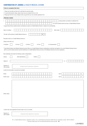## CONFIRMATION OF JOINING LA HEALTH MEDICAL SCHEME

| How to complete this form                                                                                                                                                             |
|---------------------------------------------------------------------------------------------------------------------------------------------------------------------------------------|
| 1. Please use one letter per block, fill in with black ink and print clearly.                                                                                                         |
| 2. To avoid administration delays, please make sure you complete this form in full.<br>3. Please give this form to your employer when you give them your new member application form. |
|                                                                                                                                                                                       |
| <b>Member details</b>                                                                                                                                                                 |
| hereby declare my intention to withdraw from                                                                                                                                          |
| my current medical scheme and join LA Health Medical Scheme.                                                                                                                          |
| I request that all future medical scheme contributions be paid to LA Health Medical Scheme in respect of my membership.                                                               |
|                                                                                                                                                                                       |
| Name of employer<br>Staff number                                                                                                                                                      |
|                                                                                                                                                                                       |
| 0<br>$\mathbf{1}$<br>The date I will be joining LA Health Medical Scheme is<br>M                                                                                                      |
|                                                                                                                                                                                       |
| My Option choice on LA Health Medical Scheme is:                                                                                                                                      |
| (Please mark with an X)                                                                                                                                                               |
| LA Comprehensive*<br>LA Focus*<br>LA Active*<br>LA Core*<br>LA KeyPlus                                                                                                                |
|                                                                                                                                                                                       |
| * These Benefit Options have Medical Savings Accounts. When my LA Health Medical Scheme membership is confirmed, any balance of my current Medical Savings Account                    |
| (with my current medical scheme) must be transferred to LA Health Medical Scheme (in terms of the Medical Schemes Act and its regulations).                                           |
| My membership will include the following number of dependant/s:                                                                                                                       |
|                                                                                                                                                                                       |
| Adult dependant(s)<br>Children<br>Spouse                                                                                                                                              |
|                                                                                                                                                                                       |
| Signed at<br>M<br>on<br>M                                                                                                                                                             |
|                                                                                                                                                                                       |
| Signature of<br>Original hand signature required<br>main member                                                                                                                       |
|                                                                                                                                                                                       |
| I confirm the information is accurate and complete                                                                                                                                    |
| <b>Broker</b><br>Code                                                                                                                                                                 |
|                                                                                                                                                                                       |
| Broker house<br>Code                                                                                                                                                                  |
|                                                                                                                                                                                       |
|                                                                                                                                                                                       |
|                                                                                                                                                                                       |
|                                                                                                                                                                                       |
|                                                                                                                                                                                       |
|                                                                                                                                                                                       |
| Broker stamp                                                                                                                                                                          |
|                                                                                                                                                                                       |
|                                                                                                                                                                                       |
|                                                                                                                                                                                       |
|                                                                                                                                                                                       |
|                                                                                                                                                                                       |
|                                                                                                                                                                                       |
| I confirm that I have appointed the above broker to act on my behalf.                                                                                                                 |

Signature of main member

Original hand signature required

LA Health Medical Scheme, registration number 1145, is administered by Discovery Health (Pty) Ltd, registration number 1997/013480/07.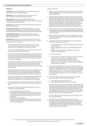#### I. LA Health Medical Scheme Privacy Statement

#### Definitions

The Scheme refers to LA Health Medical Scheme, registration number 1145, registered with the Council for Medical Schemes.

Administrator refers to Discovery Health (Pty) Ltd, registration number 1997/013480/07, an authorised financial services provider.

Discovery Group refers to Discovery Limited, registration number 1999/007789/06, including all subsidiaries of the Group. Subsidiaries in the Group are authorised financial services providers.

You and your refer to the member and his/her dependants who are registered as beneficiaries of the Scheme.

Your personal information refers to personal information about you, your spouse, your dependants, your beneficiaries, and your employees (as relevant). It includes information about health, financial status, gender, age, contact numbers and addresses.

Process(ing) (of) information means the automated or manual activity of collecting, recording, organising, storing, updating, distributing and removing or deleting personal information.

Competent person means anyone who is legally competent to consent to any action or decision being taken for any matter concerning a member or dependant, for example a parent or legal guardian.

1. When you engage with the Scheme and Administrator, you trust us with personal information about yourself, your family, and in some cases, your employees. We are committed to protecting your right to privacy.

The purpose of this Privacy Statement is to set out how we collect, use, share and otherwise process your personal information.

- 2. You have the right to object to the processing of your personal information and have a choice whether or not to accept these terms and conditions. However, it is important to note the Scheme and Administrator require your acceptance of these terms and conditions, otherwise we cannot activate and service your medical scheme membership.
- 3. The Scheme and Administrator will keep your personal information confidential. You may have given us this information yourself, or we may have collected it from other sources. If you share your personal information with any third parties, we will not be responsible for any loss suffered by you or your employer (where applicable).
- 4. You understand that when you include your spouse and/or dependents on your application, we will process their personal information for the activation of the policy/benefit and to pursue their legitimate interest. We will furthermore process their information for the purposes set out in this Privacy Statement.
- 5. If you are an employer, you agree to indemnify the Scheme and Administrator against any loss or damage, direct or indirect, that an employee suffers because of any unauthorized use of your employees' personal information.
- 6. If you are giving consent for a person under 18 (a minor) you confirm that you are a competent person and that you have authority to give their consent for them.
- 7. Youagree that the Scheme and Administrator may process your personal information for the following purposes:
	- for the administration of your benefit option
	- for the provision of managed care services to you on your benefit option;
	- for the provision of relevant information to a contracted third party who requires this information to provide a healthcare service to you on your benefit option;
	- to analyse risks, trends and profiles;
	- to share your personal information with external healthcare providers for the purposes of evaluating certain clinical information, in the event that you require medical treatment.

Examples of this include:

- i. Sharing your personal information with your chosen financial adviser during the membership application process to enable the Administrator to process your membership application;
- Obtaining and sharing your personal information with other relevant sources, including medical practitioners, contracted service providers, health information exchanges, financial advisers, credit bureaus, entities that are part of Discovery Group or industry regulatory bodies ("relevant sources") and further processing of such information to consider your membership application, to conduct underwriting or risk assessments, or to assess and value a claim for medical expenses. We may (at any time, and on an ongoing basis) verify with the relevant sources that your personal information is true, correct and complete;
- iii. If you have joined as a member of an employer group, getting information from and sharing information with your employer that is relevant to your application for membership, with due regard for considerations of confidentiality in respect of your state of health;
- iv. Communicating with you about any changes to your benefit option, including changes to your contributions or the benefits you are entitled to on the benefit option you have chosen.
- 8. If a third party asks the Scheme and Administrator for any of your personal information, we will share it with them only if:
	- you have already given your consent for the disclosure of this information to that third party; or
	- we have a legal or contractual duty to give the information to that third party, or
	- we need to share it with them for risk analytical or fraud detection, prevention or recovery purposes

You consent and agree that:

- we may process your information, including personal and special personal information, to adhere to South African Legislative reporting obligations and to perform transaction monitoring activities;
- we may communicate such personal information to local Regulatory Bodies as well as to other entities in the Discovery Group if any Legislative reportable matters are identified..
- 9. The Scheme and the Administrator may provide your personal information to any other entity within the Discovery Group with whom you or your dependant/s already have a relationship or where you or your dependant/s have applied for a product, service or benefit from such entity. This information will be provided for the administration of your, or your dependant/s products or benefits with other entities within the Discovery Group, and for fraud detection, prevention or recovery purposes.
- 10. The Scheme and Administrator may share and combine all your personal information for any one or more of the following purposes:
	- market, statistical and academic research; and
	- to customise our benefits and services to meet your needs.

 Information about you may be shared with third parties such as academics and researchers, including those outside South Africa. We ensure that all data about you that is shared with such third parties will be made anonymous to the extent possible and where appropriate. Note also that personal information will be made available to such third party only if that third party has agreed to abide by strict confidentiality protocols that we require. If we publish the results of any academic research, you will not be identified by name.

 If we want to share your personal information for any other reason, we will do so only with your permission.

11. By accepting this privacy statement, you authorise the Scheme and Administrator to obtain and share information about your creditworthiness with any credit bureau or credit providers' industry association or industry body. This includes information about credit history, financial history, judgments, and default history. It also includes sharing of information for purposes of risk analysis, tracing and any related purposes

LA Health Medical Scheme, registration number 1145, is administered by Discovery Health (Pty) Ltd, registration number 1997/013480/07.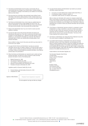- 12. The Scheme and Administrator have the right to communicate with you electronically about any changes to your benefit option, including changes to your contributions or changes to the benefits you are entitled to on the benefit option you have chosen.
- 13. We may process your information using automated means (without human intervention in the decision making process) to make a decision about you or your application for any product or service. You may query the decision made about you.
- 14. The Scheme and Administrator have a duty to keep you updated about any offers and new products that are made available from time to time. The Scheme, Administrator, any entity within the Discovery Group, and contracted third-party service providers, may communicate with you about these.
- 15. Please let the Administrator know if you do not wish to receive any direct telephonic marketing.
- 16. You have the right to know what personal information the Scheme and Administrator holds about you. If you wish to receive this information please complete an 'Access Request Form', attached to the PAIA manual, on www. lahealth.co.za, and specify the information you would like. We will take all reasonable steps to confirm your identity before providing details of your personal information.

We are entitled to charge a fee for this service and will let you know what it is at the time of your request.

- 17. You agree that the Scheme and Administrator may keep your personal information until you ask us to delete or destroy it. You have the right to ask us to update, correct or delete your personal information, unless the law requires us to keep it. Where we cannot delete your personal information, we will take all practical steps to de-personalise it.
- 18. Where the Scheme and Administrator are required by law to collect and keep personal information, we shall do so. We are required to collect and keep personal information in terms of the following laws:
	- Medical Schemes Act, 1998
	- The Consumer Protection Act, 2008
	- The Protection of Personal Information Act, 2013
	- Electronic Communications and Transactions Act, 2002
	- Promotion of Access to Information Act, 2002

Legislation specific to Discovery Health (Pty) Ltd only:

- Financial Advisory and Intermediary Services Act, 2002
- Companies Act, 2008

Signature of Main Member | Criginal hand signature required

The main applicant must sign and date any changes.

- 19. You agree that the Scheme and Administrator may transfer your personal information outside South Africa:
	- if you give us an email address that is hosted outside South Africa; or
	- for processing, storage or academic research, or
	- to administer certain services, for example, cloud services.

 When we share your information with a person (or company) outside South Africa, we will require of such person (or company) to treat your information in a manner that complies with the requirements of that country and at least with the same level of protection as we are obliged to do in South Africa. Unless you specifically give us consent to share your personal information with such person (or company).

- 20. If the Scheme or Administrator becomes involved in a proposed or actual amalgamation or merger, acquisition or any form of sale of any assets, we have the right to share your personal information with third parties in connection with the transaction. In the case of such an event, the new entity will have access to your personal information. The terms of this Privacy Statement will continue to apply.
- 21. The Scheme or Administrator may change this Privacy Statement at any time. The current version is available on www.lahealth.co.za.
- 22. If you believe that the Scheme or Administrator have used your personal information contrary to this Privacy Statement, we encourage you to first follow our internal complaints process to resolve the complaint. We explain the complaints and disputes process on the website at www.lahealth.co.za. If you are not satisfied after this process, you have the right to lodge a complaint with the Information Regulator, under POPIA, We explain the complaints and disputes process on the website www.discovery.co.za.

Contact details for the Information Regulator are:

The Information Regulator (South Africa) 33 Hoofd Street Forum III, 3rd Floor Braampark P.O Box 31533 Braamfontein Johannesburg 2017

Mr Marks Thibela Chief Executive Officer Tel: +27 (0) 10 023 5207 Cell: +27 (0) 82 746 4173 inforeg@justice.gov.za

Council for Medical Schemes: complaints@medicalschemes.com / 0860 123 267 / www.medicalschemes.com

LA Health Medical Scheme, registration number 1145, is administered by Discovery Health (Pty) Ltd, registration number 1997/013480/07.